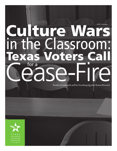# ture Mars Classroom. oters C Ya for a

Results of a statewide poll by Greenberg Quinlan Rosner Research

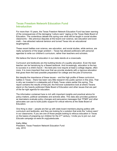# **Texas Freedom Network Education Fund Introduction**

For more than 15 years, the Texas Freedom Network Education Fund has been warning of the consequences of the damaging "culture wars" raging on the Texas State Board of Education. The contentious debate this spring over what will be taught in social studies classrooms – like previous disputes at the board over science, sex education and even math – has attracted national derision and turned Texas into an educational laughingstock.

These recent battles over science, sex education, and social studies, while serious, are really symptoms of the larger problem – Texas has allowed politicians with personal agendas to write our children's curriculum, rather than teachers and scholars.

We believe the future of education in our state stands at a crossroads.

Curriculum and textbooks are the building blocks of a quality education. Even the best teacher can be hamstrung by a flawed textbook. And increasingly, education is the key to success in a child's future – the best jobs now require at least a college degree, often more. It is more important than ever that we provide students with a rigorous education that gives them the best possible preparation for college and the jobs of tomorrow.

But despite the importance of these issues – and the high profile of these curriculum battles in Texas – there has been very little research into public opinion in this area. That is why we invested in a statewide poll of likely Texas voters earlier this spring. This report contains the results of that poll, the first-ever substantive look at where Texans stand on the heavily politicized State Board of Education and other issues that are part of the far-right agenda for education.

The information contained here is rich with important insights and practical advice for policy-makers, political candidates and activists alike. This data also provides guidance as lawmakers evaluate policy changes and persuasive messages that TFNEF and other advocates can use to build public support for critical reforms at the State Board of Education.

One thing is clear – people are fed up with state board members playing politics with curriculum and textbooks, and they are looking for a solution that ends the "culture wars" in our classrooms. If you are one of those people looking to refocus education in Texas on the basics of preparing our children for the 21st century, I invite you to join our *Just Educate* campaign at www.tfn.org/justeducate.

Kathy Miller President, Texas Freedom Network Education Fund July, 2010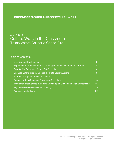# **GREENBERG QUINLAN ROSNER RESEARCH**

# July 13, 2010 Culture Wars in the Classroom Texas Voters Call for a Cease-Fire

# Table of Contents

| Overview and Key Findings                                                    | $\overline{2}$   |
|------------------------------------------------------------------------------|------------------|
| Separation of Church and State and Religion in Schools: Voters Favor Both    | $\overline{4}$   |
| Experts, Not Politicians, Should Set Curricula                               | $6 \overline{6}$ |
| Engaged Voters Strongly Oppose the State Board's Actions                     | $\overline{9}$   |
| Information Impacts Curriculum Debate                                        | 11               |
| Reasons Voters Oppose or Favor New Curriculum                                | 13               |
| Important Constituencies: Emerging Demographic Groups and Strange Bedfellows | 15               |
| Key Lessons on Messages and Framing                                          | 19               |
| Appendix: Methodology                                                        | 20               |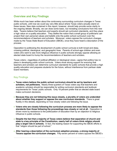#### **Overview and Key Findings**

While much has been written about the controversy surrounding curriculum changes in Texas public schools, until now we could say very little about where Texas voters actually stand on these issues. New data contained in this report, however, should help provide some clarity to the ongoing debate. Broadly, we can draw some basic, but revealing conclusions from this new data. Texans believe that teachers and experts should set curriculum standards, and they place a high value on a quality education. They dislike the notion that a small group of politicians can project their own personal values and beliefs onto the public school curriculum over the recommendations of teachers and scholars. Moreover, voters oppose the curriculum changes made by the Texas State Board of Education (SBOE), once they have heard a description of the process.

Opposition to politicizing the development of public school curricula is both broad and deep, crossing political, ideological, and geographic lines. Parents of school-age children and even voters who want to see more religious influence in public schools strongly oppose allowing an elected state board to trump the recommendations of teachers and scholars.

Texas voters—regardless of political affiliation or ideological views—agree that politics has no place in developing public school curricula. Voters show strong support for ensuring that teachers and scholars can determine curriculum standards for public schools that provide a high quality education and prepares students for the future, without interference from partisan state board members.

#### Key Findings

- **Texas voters believe the public school curriculum should be set by teachers and scholars, not politicians.** Nearly three-quarters of Texas voters say that teachers and academic scholars should be responsible for writing curriculum standards and textbook requirements for Texas' public schools. Only 19 percent prefer that an elected state board make curriculum decisions.
- **Because they are not following this issue closely, a plurality of voters are undecided about whether they support or oppose the new curriculum standards.** There is great fluidity in this debate, depending on how closely voters are following the issue.
- **Voters who are closely following the curriculum process are more likely to oppose the standards than those following the proceedings less closely or not at all.** Opposition is driven more by resistance to the politicization of education than by an objection to religious influence in public schools.
- **Despite the fact that a majority of Texas voters believe that separation of church and state is a key principle of the Constitution, nearly half of voters think religion should play a** *larger* **role in schools.** In fact, the leading reason for supporting the SBOE efforts is that "religion should be part of school."
- **After hearing a description of the curriculum adoption process, a strong majority of Texans oppose the curriculum changes.** Fifty-seven percent of voters oppose the SBOE's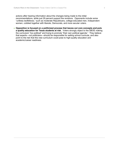actions after hearing information about the changes being made to the initial recommendations, while just 29 percent support the revisions. Opponents include some "unlikely bedfellows," such as moderate Republicans, college-educated men, Independent women, cobbled together with liberals, Democrats, and more secular voters.

**Opposition is focused on a politicized process that leaves out core concepts and puts a quality education for Texas students at risk.** Voters strongly object to the SBOE making the curriculum "too political" and trying to promote "their own political agenda." They believe that experts—not politicians—should be responsible for setting school curricula, and also point to the risk that this new curriculum could pose to high-quality education and academic/career readiness.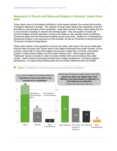# **Separation of Church and State and Religion in Schools: Voters Favor Both**

Texas voters come to this debate conflicted to some degree between the concept and practice of religious influence in schools. The majority of Texas voters believe that separation of church and state is a key principle of the Constitution. Sixty-eight percent of likely voters agree that it is a core principle, including 51 percent who strongly agree. Only one-quarter of voters (26 percent) disagree that the separation of church and state is a key principle of the Constitution. Consensus about the First Amendment extends across party lines. Nearly 6-in-10 Republicans (59 percent) believe in the importance of this principle, as well as 76 percent of Democrats and 74 percent of political independents.

While voters believe in the separation of church and state, other data in this survey make plain that this does not mean that Texans want to see religion eradicated from public schools. On the contrary, nearly half of voters think religion should play a *larger* role in schools, and another quarter of voters believe religion has the proper influence now. Some support teaching "traditional" values in schools in order to provide children with sound morals as they enter society. Others believe that schools should teach multiple perspectives—including religious perspectives—to impart critical thinking skills and let children determine their own beliefs.

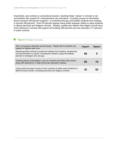Importantly, and contrary to conventional wisdom, teaching these "values" in schools is not inconsistent with support for comprehensive sex education—including access to information about condoms (80 percent support)—or protecting the gay and lesbian students from bullying in schools (88 percent). Even 55 percent oppose using public taxpayer dollars to allow students to attend parochial and religious schools. Notably, people who believe that religion should have more influence in schools still support anti-bullying (85 percent) and sex education (71 percent) in public schools.

#### $\Box$ **Figure 2:** Religion and policy

| Now I am going to describe several issues. Please tell me whether you<br>support or oppose each one.                                                                                        | <b>Support</b> | <b>Oppose</b> |
|---------------------------------------------------------------------------------------------------------------------------------------------------------------------------------------------|----------------|---------------|
| Requiring public schools to protect all children from bullying, harassment,<br>and discrimination in school, including the children of gay and lesbian<br>parents or teenagers who are gay. | 88             | 9             |
| Teaching about contraception, such as condoms and other birth control,<br>along with abstinence, in high school sex-education classes.                                                      | 80             | 19            |
| Using public tax-payer money to fund vouchers to allow some students to<br>attend private schools, including parochial and religious schools.                                               | 42             | 55            |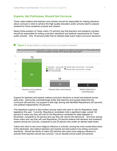#### **Experts, Not Politicians, Should Set Curricula**

Texas voters believe that teachers and scholars should be responsible for making decisions about curricula in order to achieve the high-quality education public schools need to prepare students for future academic pursuits and careers.

Nearly three-quarters of Texas voters (72 percent) say that teachers and academic scholars should be responsible for writing curriculum standards and textbook requirements for Texas' public schools. Only 19 percent prefer that an elected state board make curriculum decisions.



Support for teachers and experts making curriculum decisions is broad and extends across party lines. Democrats overwhelmingly prefer that teachers and experts determine the curriculum (84 percent), but support is also high among self-identified Republicans (63 percent) and political independents (76 percent).

This bipartisan support is also evident among voters who plan to vote for Republican state legislators this year. Currently, Republican candidates hold a significant edge: overall, 54 percent of voters say they will vote for the Republican candidate for state legislator in November, compared to 34 percent who say they will vote for the Democrat. And even among those voters who say they will vote Republican, 63 percent believe that teachers and academic experts should set curricula, compared to just 25 percent who prefer an elected state board.

Voters who want to see more religious influence in schools, among the most conservative blocs of the electorate, also believe teachers and experts are best-suited to be writing curriculum standards. Almost two-thirds of voters (63 percent) who want more religious influence in schools think teachers should set curricula—not an elected school board (25 percent).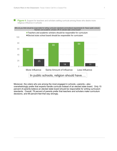$\Box$ 

**Figure 4:** Support for teachers and scholars setting curricula among those who desire more religious influence in schools



Moreover, the voters who are among the most engaged in schools—parents—also overwhelmingly prefer that experts handle curricula instead of an elected state board. Only 15 percent of parents believe an elected state board should be responsible for writing curriculum standards. Overall, 78 percent of parents prefer that teachers and scholars make curriculum decisions, and 69 percent feel that way strongly.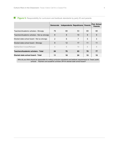$\mathcal{L}_{\mathcal{A}}$ 

|                                              | <b>Democrats</b> | Independents Republicans Parents |    |    | Pub. School<br><b>Parents</b> |
|----------------------------------------------|------------------|----------------------------------|----|----|-------------------------------|
| Teachers/Academic scholars - Strongly        | 76               | 68                               | 53 | 69 | 68                            |
| Teachers/Academic scholars - Not so strongly | 8                | 8                                | 10 | 9  | 9                             |
| Elected state school board - Not so strongly | 2                | 6                                | 7  | 5  | $\overline{4}$                |
| Elected state school board - Strongly        | 9                | 12                               | 17 | 11 | 11                            |
| Neither/Don't know/Refused                   | 4                | 6                                | 14 | 6  | 8                             |
| Teachers/Academic scholars - Total           | 84               | 76                               | 63 | 78 | 77                            |
| Elected state school board - Total           | 11               | 18                               | 24 | 15 | 15                            |

**Figure 5:** Responsibility for curriculum and textbook standards by party ID and parents

*Who do you think should be responsible for writing curriculum standards and textbook requirements for Texas' public schools: Teachers and academic scholars OR An elected state school board?*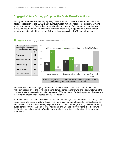# **Engaged Voters Strongly Oppose the State Board's Actions**

Among Texas voters who are paying "very close" attention to the debate over the state board's actions, opposition to the SBOE's new curriculum requirements reaches 64 percent. Among voters who are paying "somewhat close" attention, a plurality of 43 percent oppose the new curriculum requirements. These voters are much more likely to oppose the curriculum than voters who indicate that they are not following the process closely (16 percent oppose).



However, few voters are paying close attention to the work of the state board at this point. Although opposition to the revisions is considerable among voters who are closely following the process, that group constitutes only 10 percent of Texas voters. Forty-five percent of voters are following the proceedings "not too closely" or "not at all."

Interest in this issue seems mostly flat across the electorate; we see a modest rise among older voters relative to younger voters, though this would likely be true of any other political issue as well. Interest drops slightly among Republicans and does not change among parents, including public school parents. Among liberal Protestants and un-labeled Protestants (i.e. those who designate themselves as "other" and those who don't know their designation), interest jumps appreciably.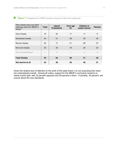- 
- **Figure 7:** Engagement in SBOE process among all voters and subgroups

| How closely have you been<br>following what the SBOE is<br>doing? | <b>Total</b> | Liberal<br><b>Protestants</b> | Over age<br>64 | Children in<br>public school | <b>Parents</b> |
|-------------------------------------------------------------------|--------------|-------------------------------|----------------|------------------------------|----------------|
| <b>Very Closely</b>                                               | 10           | 22                            | 11             | 11                           | 9              |
| Somewhat closely                                                  | 44           | 41                            | 48             | 40                           | 40             |
| Not too closely                                                   | 25           | 17                            | 21             | 28                           | 27             |
| Not at all closely                                                | 20           | 20                            | 18             | 20                           | 24             |
| Don't know/Refused                                                | 1            | $\bigcirc$                    | 1              | $\Omega$                     | $\Omega$       |
| <b>Total Closely</b>                                              | 54           | 62                            | 59             | 51                           | 49             |
| Not too/not at all                                                | 45           | 38                            | 39             | 48                           | 51             |

Given the relative lack of attention to the work of the state board, it is not surprising that views are undeveloped overall. Among all voters, support for the SBOE's curriculum revisions is nearly evenly split, with 32 percent opposed and 29 percent in favor. A plurality, 35 percent, are unsure about the new standards.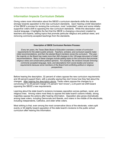# **Information Impacts Curriculum Debate**

Giving voters more information about the SBOE's curriculum standards shifts this debate strongly towards opposition to the new curriculum standards. Upon hearing a brief description of the SBOE's process for revising the curriculum, most "undecided" voters and some initiallysupportive voters shift to opposing the new curriculum standards. While this description uses neutral language, it highlights the fact that the SBOE is changing a document created by teachers and experts, adding topics that promote particular religious and political views, and removing commonly-accepted teachings from the standards.

#### **Description of SBOE Curriculum Revision Process:**

*Every ten years, the Texas State Board of Education oversees a review of curriculum requirements for the state's public schools. Teachers, scholars, and curriculum experts make initial recommendations, and then the elected Board members revise the curriculum. This year, the majority on the Board has made more than 300 changes to the 120-page document of initial recommendations. Many of these changes include adding topics to the curriculum that promote religious views and conservative political opinions. For example, the revisions include removing commonly-accepted language, facts, and descriptions from social studies and science requirements because some members of the Board hold conflicting political or religious perspectives.*

Before hearing the description, 32 percent of voters oppose the new curriculum requirements and 29 percent support them, with a plurality saying they don't know how they feel about the changes. After hearing the description above, Texas voters oppose the changes by a convincing 57 to 29 percent margin (14 percent "don't know"), a 24-point net shift toward opposing the SBOE's new requirements.

Learning about the state board's revisions increases opposition across partisan, racial, and religious lines. Among voters most likely to oppose the state board's actions initially, strong majorities oppose the actions after hearing information. Opposition also grows dramatically among base voters, including Democrats and liberals, and voters in the middle of the electorate, including independents, Catholics, and older white voters.

Most striking is that, even among the most conservative blocs of the electorate, voters split evenly or tilt slightly toward opposition of the state board's revisions to the public school curriculum after hearing this information.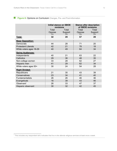### **Figure 8: Opinions on Curriculum** Changes, Pre- and Post-Information

|                            | <b>Initial stance on SBOE</b><br>revisions |                 | <b>Stance after description</b><br>of SBOE revisions |                 |
|----------------------------|--------------------------------------------|-----------------|------------------------------------------------------|-----------------|
|                            | Total<br>Total                             |                 | Total                                                | Total           |
|                            | Oppose<br>(% )                             | Support<br>(% ) | Oppose<br>(% )                                       | Support<br>(% ) |
| Total:                     | 32                                         | 29              | 57                                                   | 29              |
| <b>Base Opposition:</b>    |                                            |                 |                                                      |                 |
| Democrats                  | 44                                         | 28              | 71                                                   | 20              |
| <b>Protestant Liberals</b> | 42                                         | 21              | 78                                                   | 18              |
| White voters ages 18-29    | 40                                         | 49              | 64                                                   | 34              |
| <b>Swing Audiences:</b>    |                                            |                 |                                                      |                 |
| Independents               | 40                                         | 21              | 63                                                   | 22              |
| Catholics                  | 29                                         | 36              | 48                                                   | 35              |
| Non-college women          | 33                                         | 28              | 62                                                   | 27              |
| Hispanic men               | 41                                         | 29              | 62                                                   | 34              |
| White voters ages 50+      | 30                                         | 24              | 54                                                   | 28              |
| <b>Right Divided:</b>      |                                            |                 |                                                      |                 |
| Republicans                | 21                                         | 35              | 43                                                   | 39              |
| Conservatives              | 23                                         | 34              | 41                                                   | 40              |
| <b>Fundamentalists</b>     | 26                                         | 26              | 46                                                   | 36              |
| Evangelicals               | 16                                         | 39              | 43                                                   | 46              |
| Observant <sup>1</sup>     | 26                                         | 33              | 47                                                   | 37              |
| Hispanic observant         | 30                                         | 32              | 42                                                   | 45              |

 $1$  This includes any respondent who indicates that he or she attends religious services at least once a week.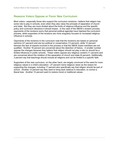#### **Reasons Voters Oppose or Favor New Curriculum**

Most voters—especially those who support the curriculum revisions—believe that religion has some role to play in schools, even when they also value the principle of separation of church and state. But they are more divided about the limits of religious influence and the specific policy and curriculum decisions it should impact. In the case of the SBOE's revision process, opponents of the revisions worry that personal political agendas have hijacked the curriculum process, while supporters of the revisions are more singularly focused on increased religious influence in schools.

Opponents of the revisions to the curriculum note that the revisions are based on personal opinions (21 percent) and are too political or conservative (13 percent), while 12 percent bemoan the lack of experts involved in the process or that the SBOE board members are not qualified. Another 16 percent are concerned about the distortion of history. A smaller number oppose the changes because they believe that religion should not play a role (or should be a limited influence) in public schools. These voters oppose any religious content (11 percent) and are concerned about the violation of the separation of church and state (6 percent). Additionally, 3 percent say that teachings should include all religions and not be limited to a specific faith.

Supporters of the new curriculum, on the other hand, are largely convinced of the need for more religious values in a child's education-27 percent name religious views as the reason for supporting the changes, including 17 percent who specifically say that religion should be part of school. Another 12 percent say they want to bring back balance in education, to correct a liberal bias. Another 10 percent want to restore moral or traditional values.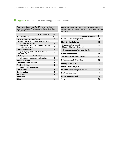#### **Figure 9:** Reasons voters favor and oppose new curriculum

*Please describe why you FAVOR the new curriculum requirements being developed by the Texas State Board of Education?*

 $\mathcal{C}_{\mathcal{A}}$ 

| (percent mentioning)                                                   | $\%^*$         |  |  |  |
|------------------------------------------------------------------------|----------------|--|--|--|
| <b>Religious Views</b>                                                 |                |  |  |  |
| Religion should be part of school                                      | 17             |  |  |  |
| Country founded on Christian/Religious Beliefs                         | 8              |  |  |  |
| Right to practice religion                                             | 3              |  |  |  |
| Country would be better off/no religion reason<br>for so many problems | $\overline{2}$ |  |  |  |
| <b>Conservative Views</b>                                              | 20             |  |  |  |
| Keep from going too far left/Liberal Bias in<br>public schools         | 12             |  |  |  |
| Restoring balance/back to traditions                                   | 6              |  |  |  |
| Should teach morals/morals are important                               | 4              |  |  |  |
| Change is needed                                                       | 13             |  |  |  |
| Curriculum needs updating                                              | 7              |  |  |  |
| <b>Teach both sides</b>                                                | 6              |  |  |  |
| In the best interest of the kids                                       | 6              |  |  |  |
| <b>Elected Board</b>                                                   | 5              |  |  |  |
| Need more info                                                         | 3              |  |  |  |
| Not in favor                                                           | 4              |  |  |  |
| Don't know                                                             | 11             |  |  |  |
| Other                                                                  | 12             |  |  |  |

*Please describe why you OPPOSE the new curriculum requirements being developed by the Texas State Board of Education?*

| (percent mentioning)                                        | $\%^*$ |  |  |  |
|-------------------------------------------------------------|--------|--|--|--|
| <b>Based on Personal Opinions</b>                           |        |  |  |  |
| <b>Limit Religion in School</b>                             | 17     |  |  |  |
| Oppose religious content/<br>Should not be taught in school | 11     |  |  |  |
| Violates separation of church and state                     | 6      |  |  |  |
| <b>Distortion of History</b>                                | 16     |  |  |  |
| <b>Too Political/Too Conservative</b>                       | 13     |  |  |  |
| <b>Not Academics/Not Qualified</b>                          | 12     |  |  |  |
| <b>Forcing Views on Kids</b>                                | 8      |  |  |  |
| Works well the way it is                                    | 6      |  |  |  |
| Should Cover all religions, not one                         | 3      |  |  |  |
| Don't know/refused                                          | 5      |  |  |  |
| Do not oppose/favor it                                      | 4      |  |  |  |
| Other                                                       | 10     |  |  |  |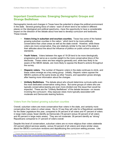# **Important Constituencies: Emerging Demographic Groups and Strange Bedfellows**

Demographic trends and changes in Texas have the potential to shape the political environment in the state. Several growing blocs of voters—each of whom tend to be rooted in different places on the ideological and political spectrums—have the opportunity to have a considerable impact on the direction of the debate about how best to develop curriculum and textbooks. These include:

- **Voters living in suburban and exurban counties.** Texas has some of the fastest growing suburban counties in the nation,<sup>2</sup> which tend to be more politically conservative than urban areas as well as the state overall. However, while these voters are more conservative, they are relatively similar to the rest of the state in their attitudes about the about the influence of politics on public school curriculum standards.
- **Youth Voters.** Voters between the ages of 18-29 tend to be more ideologically progressive and serve as a counter-weight to the more conservative blocs of the electorate. These voters are less religious generally and, while less likely to be aware of the SBOE debate, are more likely to oppose the Board's actions throughout the survey.
- **Hispanic voters.** The number of Hispanic voters in the state continues to climb, and these voters emerge as a key swing group. Initially, Hispanic voters oppose the SBOE's actions at the same levels as other Texans, and opposition grows strongly after hearing more information about the changes.
- **Unlikely Bedfellows.** The debate about who should determine curricula splits even the most dedicated conservative voting blocs. But some groups of voters who are typically conservative-leaning are even more divided over this issue than would be expected. These are the "Unlikely Bedfellows" of the debate because—on issues involving the curriculum—they espouse views more typically associated with moderate and Democratic-leaning factions.

#### Voters from the fastest growing suburban counties

Overall, suburban voters are more conservative than voters in the state, and certainly more conservative than voters in urban areas. Six-in-10 say they will vote for a Republican candidate for the State Legislature this year, compared to 54 percent of all voters and 47 percent of voters in large metro areas; fewer identify as Democrats (18 percent versus 30 percent of all voters and 40 percent in large metro areas). They are not moderate: 39 percent identify as "strong" Republicans compared to 31 percent of voters overall.

Despite this level of conservatism, suburban voters are no more religious than voters statewide (52 percent attend services weekly, versus 53 percent of all voters) and share similar views about the SBOE's curriculum revisions and depoliticizing the curriculum setting process. Like

<sup>&</sup>lt;sup>2</sup> "Texas Has High Number of Fastest Growing Counties," Austin Business Journal; March 27, 2009; [http://austin.bizjournals.com/austin/stories/2009/03/23/daily61.html.](http://austin.bizjournals.com/austin/stories/2009/03/23/daily61.html)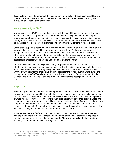Texas voters overall, 49 percent of these suburban voters believe that religion should have a greater influence in schools, but 56 percent oppose the SBOE's process of changing the curriculum after hearing the description.

### Young Voters Ages 18-29

Young voters ages 18-29 are more likely to say religion should have less influence than more influence in schools (31 percent versus 21 percent overall). Eighty-seven percent support teaching comprehensive sex education in schools. Young adults also overwhelmingly support having experts determine curriculum standards rather than an elected state board, even more so than older voters (83 percent prefer experts compared to 72 percent of voters overall).

Some of this support is not surprising given that younger voters, even in Texas, tend to be more ideologically progressive and less religious than older voters. For instance, one-quarter of young voters call themselves "liberal," compared to just 16 percent of voters statewide. And while more than half of voters (53 percent) indicate that they attend church regularly, only 41 percent of young voters are regular churchgoers. In fact, 18 percent of young adults claim no specific faith or religion, compared to just 7 percent of voters over 50.

Despite this ideological and religious divide, younger voters begin more supportive of the SBOE's curriculum revisions than older voters. $3$  Part of this initial support may actually be due to modal differences in the survey design (i.e. web platform) or because young voters are unfamiliar with debate; the precipitous drop in support for the revised curriculum following the description of the SBOE's revision process provides some support for the latter hypothesis. Opposition to the SBOE's revisions grows substantially after the description of the SBOE's process.

#### Hispanic Voters

There is a great deal of contradiction among Hispanic voters in Texas on issues of curricula and religion. In a state dominated by Protestants, Hispanic voters bring a Catholic influence to this debate. Over half of Hispanic voters (56 percent) identify as Catholic, compared to 15 percent of white voters. However, Hispanic voters' faith does not always drive their policy stances and attitudes. Hispanic voters are no more likely to want greater religious influence in public schools (46 percent, compared to 49 percent of voters statewide). And, despite Catholic doctrine opposing birth control, 85 percent of Hispanic voters support comprehensive sex education that includes teaching about condoms and other forms of birth control.

In the debate over the SBOE's curriculum process, Hispanic voters *oppose* the revisions in similar proportions to the overall electorate: 33 percent of Hispanic voters initially oppose the revisions compared to 32 percent of voters overall. Moreover, opposition to the state board's actions grows to 55 percent after hearing information.

 $^3$  Survey mode may have contributed to why few young adults provided a "don't know" response to these questions. Young adults who completed the survey on the phone were more likely to respond with "don't know" than those who completed the survey on the web.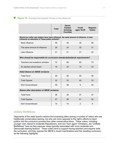**Figure 10:** Emerging Demographic Groups on Key Measures

|                                                                                                                                             | <b>Total</b> | <b>Seven</b><br><b>Fastest</b><br>Growing<br><b>Counties</b> | Youth<br>ages 18-29 | <b>Hispanic</b><br><b>Voters</b> |
|---------------------------------------------------------------------------------------------------------------------------------------------|--------------|--------------------------------------------------------------|---------------------|----------------------------------|
| Would you rather see religion have more influence, the same amount of influence, or less<br>influence on education in Texas public schools? |              |                                                              |                     |                                  |
| More influence                                                                                                                              | 49           | 49                                                           | 35                  | 46                               |
| The same amount of influence                                                                                                                | 26           | 24                                                           | 32                  | 31                               |
| Less influence                                                                                                                              | 21           | 21                                                           | 31                  | 22                               |
| Who should be responsible for curriculum standards/textbook requirements?                                                                   |              |                                                              |                     |                                  |
| Teachers and academic scholars                                                                                                              | 72           | 69                                                           | 83                  | 73                               |
| An elected school board                                                                                                                     | 19           | 20                                                           | 15                  | 23                               |
| <b>Initial Stance on SBOE revisions</b>                                                                                                     |              |                                                              |                     |                                  |
| <b>Total Favor</b>                                                                                                                          | 29           | 26                                                           | 50                  | 36                               |
| <b>Total Oppose</b>                                                                                                                         | 32           | 32                                                           | 40                  | 33                               |
| Don't know/refused                                                                                                                          | 35           | 38                                                           | 9                   | 30                               |
| <b>Stance after description of SBOE revisions</b>                                                                                           |              |                                                              |                     |                                  |
| <b>Total Favor</b>                                                                                                                          | 29           | 30                                                           | 37                  | 37                               |
| <b>Total Oppose</b>                                                                                                                         | 57           | 56                                                           | 61                  | 55                               |
| Don't know/refused                                                                                                                          | 14           | 14                                                           | $\overline{2}$      | 8                                |

#### Unlikely Bedfellows

Opponents of the state board's actions find surprising allies among a number of voters who are traditionally conservative leaning, but who are more opposed to the right's efforts to inject politics into the curriculum process than other conservative blocs. These voters, including younger men, liberal to moderate Republicans, and non-"born again" Christians, are "Unlikely Bedfellows" here as they espouse views typically associated with more moderate and Democratic-leaning factions. These voters tend to support having teachers and experts write the curriculum, and they oppose the SBOE's recent machinations and the resulting curriculum, as the following highlights: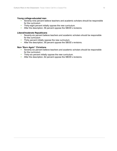#### **Young college-educated men**

- Seventy-nine percent believe teachers and academic scholars should be responsible for the curriculum
- **Thirty-eight percent initially oppose the new curriculum.**
- **After the description, 56 percent oppose the SBOE's revisions.**

#### **Liberal/moderate Republicans**

- Seventy-six percent believe teachers and academic scholars should be responsible for the curriculum
- **Thirty percent initially oppose the new curriculum.**
- **After the description, 59 percent oppose the SBOE's revisions.**

#### **Non-**"Born Again" Christians

- Seventy-six percent believe teachers and academic scholars should be responsible for the curriculum
- **Thirty-six percent initially oppose the new curriculum.**
- **After the description, 62 percent oppose the SBOE's revisions.**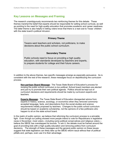# **Key Lessons on Messages and Framing**

The research unambiguously recommends two reinforcing themes for this debate. These themes marshal the belief that experts should be responsible for setting school curricula, as well as pointing to the need for high-quality education that promotes academic and career readiness. The latter theme is also helpful in letting voters know that there is a real cost to Texas' children with the state board's political intrusion.

#### **Primary Theme**

Texans want teachers and scholars, not politicians, to make decisions about the public school curriculum.

#### **Secondary Theme**

Public schools need to focus on providing a high quality education, with standards developed by teachers and experts, to prepare students for college and their future careers.

In addition to the above themes, two specific messages emerge as especially persuasive. As is consistent with the rest of the research, these messages focus on depoliticizing the curriculum process.

**Non-partisan Board Message:** The Texas State Board of Education's process for revising the public school curriculum is too political. School board members are elected and just try to promote their own political agenda. Politics should be kept out of curriculum decisions and requirements should be made by curriculum experts and teachers.

**Experts Message:** The Texas State Board of Education disregarded advice from experts in history, science, sociology, or economics when they removed commonlyaccepted language, facts, and descriptions from the social studies and science requirements initially proposed by teachers. Changes to the public school curriculum should be based on academic scholarship, not the opinions of a few politicians who happen to sit on the state school board.

In the realm of public opinion, we believe that reforming the curriculum process is a winnable fight. Even though our polling showed more people intend to vote for Republicans in legislative races in November, most voters—including some political conservatives and religious voters believe the SBOE has overstepped its bounds. To win it, the debate must be framed around the goal of providing kids with a high quality education and removing politics from curriculum decisions. The strength of these messages and the general public opinion on these issues suggest that state legislators can likely take up the SBOE reform issue without fear of political pitfalls and, perhaps, even use it to their advantage.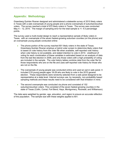# **Appendix: Methodology**

Greenberg Quinlan Rosner designed and administered a statewide survey of 2010 likely voters in Texas with a web oversample of young people and a phone oversample of suburban/exurban voters. The survey reached a total of 972 likely voters in Texas. The survey was conducted May  $4 - 12$ , 2010. The margin of sampling error for the total sample is  $+/- 4.0$  percentage points.

The survey used a multi-modal design to reach a representative sample of likely voters in Texas, with an oversample of the seven fastest-growing suburban counties (on the phone) and an oversample young people conducted online:

- The phone portion of the survey reached 601 likely voters in the state of Texas. Greenberg Quinlan Rosner employs a hybrid voter screen to determine likely voters that is based on vote history from the voter file when available, self-reported vote history when vote history is not available, and stated intention to vote in 2010. Likelihood of voting for each combination of these variables is estimated based on an analysis of data from the last like-election in 2006, and only those voters with a high probability of voting are included in the sample. The vote history tables combine data from the voter file for those respondents who are on the file and uses self-reported vote history for those who are not on the file.
- The oversample of young people was conducted online and used an opt-in web panel. It included 219 young people ages 18-29 who are likely to vote in the 2010 general election. These respondents were randomly selected from a web panel designed to be representative at a state level. Internet surveys use, by necessity, non-probability based sampling methods and these results need to be considered with that limitation in mind.
- $\bullet$ The second oversample was conducted via phone and consisted of 152 suburban/exurban voters. This consisted of the seven fastest-growing counties in the state of Texas (Collin, Comal, Fort Bend, Hays, Montgomery, Rockwall, and Williamson).

The data were weighted by gender, age, education, and region to ensure an accurate reflection of the population. The sample size with these weights applied is 601.